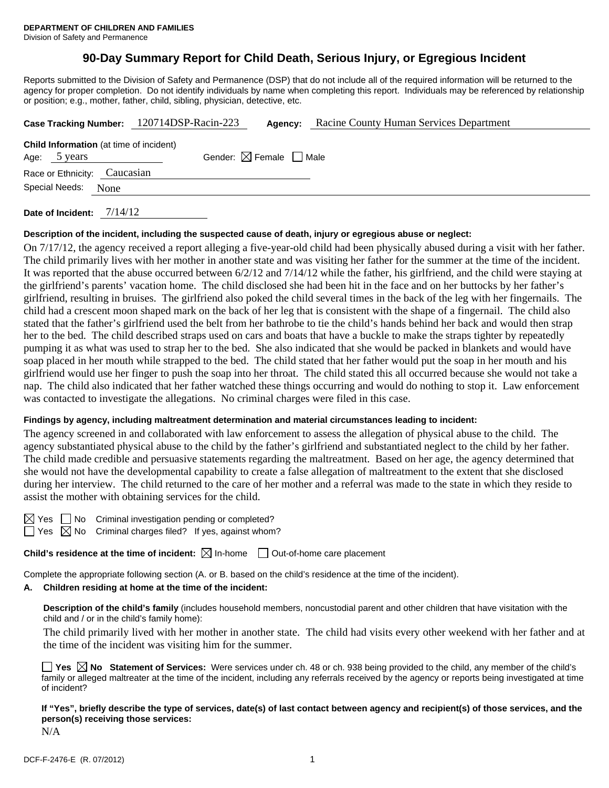# **90-Day Summary Report for Child Death, Serious Injury, or Egregious Incident**

Reports submitted to the Division of Safety and Permanence (DSP) that do not include all of the required information will be returned to the agency for proper completion. Do not identify individuals by name when completing this report. Individuals may be referenced by relationship or position; e.g., mother, father, child, sibling, physician, detective, etc.

|                                                                |  | Case Tracking Number: 120714DSP-Racin-223 | Agency: | Racine County Human Services Department |  |  |
|----------------------------------------------------------------|--|-------------------------------------------|---------|-----------------------------------------|--|--|
| <b>Child Information</b> (at time of incident)<br>Age: 5 years |  | Gender: $\boxtimes$ Female $\Box$ Male    |         |                                         |  |  |
| Race or Ethnicity: Caucasian                                   |  |                                           |         |                                         |  |  |
| Special Needs: None                                            |  |                                           |         |                                         |  |  |
|                                                                |  |                                           |         |                                         |  |  |

**Date of Incident:** 7/14/12

## **Description of the incident, including the suspected cause of death, injury or egregious abuse or neglect:**

On 7/17/12, the agency received a report alleging a five-year-old child had been physically abused during a visit with her father. The child primarily lives with her mother in another state and was visiting her father for the summer at the time of the incident. It was reported that the abuse occurred between  $6/2/12$  and  $7/14/12$  while the father, his girlfriend, and the child were staying at the girlfriend's parents' vacation home. The child disclosed she had been hit in the face and on her buttocks by her father's girlfriend, resulting in bruises. The girlfriend also poked the child several times in the back of the leg with her fingernails. The child had a crescent moon shaped mark on the back of her leg that is consistent with the shape of a fingernail. The child also stated that the father's girlfriend used the belt from her bathrobe to tie the child's hands behind her back and would then strap her to the bed. The child described straps used on cars and boats that have a buckle to make the straps tighter by repeatedly pumping it as what was used to strap her to the bed. She also indicated that she would be packed in blankets and would have soap placed in her mouth while strapped to the bed. The child stated that her father would put the soap in her mouth and his girlfriend would use her finger to push the soap into her throat. The child stated this all occurred because she would not take a nap. The child also indicated that her father watched these things occurring and would do nothing to stop it. Law enforcement was contacted to investigate the allegations. No criminal charges were filed in this case.

## **Findings by agency, including maltreatment determination and material circumstances leading to incident:**

The agency screened in and collaborated with law enforcement to assess the allegation of physical abuse to the child. The agency substantiated physical abuse to the child by the father's girlfriend and substantiated neglect to the child by her father. The child made credible and persuasive statements regarding the maltreatment. Based on her age, the agency determined that she would not have the developmental capability to create a false allegation of maltreatment to the extent that she disclosed during her interview. The child returned to the care of her mother and a referral was made to the state in which they reside to assist the mother with obtaining services for the child.

 $\boxtimes$  Yes  $\Box$  No Criminal investigation pending or completed?

 $\Box$  Yes  $\boxtimes$  No Criminal charges filed? If yes, against whom?

**Child's residence at the time of incident:** ⊠ In-home □ Out-of-home care placement

Complete the appropriate following section (A. or B. based on the child's residence at the time of the incident).

# **A. Children residing at home at the time of the incident:**

**Description of the child's family** (includes household members, noncustodial parent and other children that have visitation with the child and / or in the child's family home):

The child primarily lived with her mother in another state. The child had visits every other weekend with her father and at the time of the incident was visiting him for the summer.

**Yes No Statement of Services:** Were services under ch. 48 or ch. 938 being provided to the child, any member of the child's family or alleged maltreater at the time of the incident, including any referrals received by the agency or reports being investigated at time of incident?

**If "Yes", briefly describe the type of services, date(s) of last contact between agency and recipient(s) of those services, and the person(s) receiving those services:** 

N/A